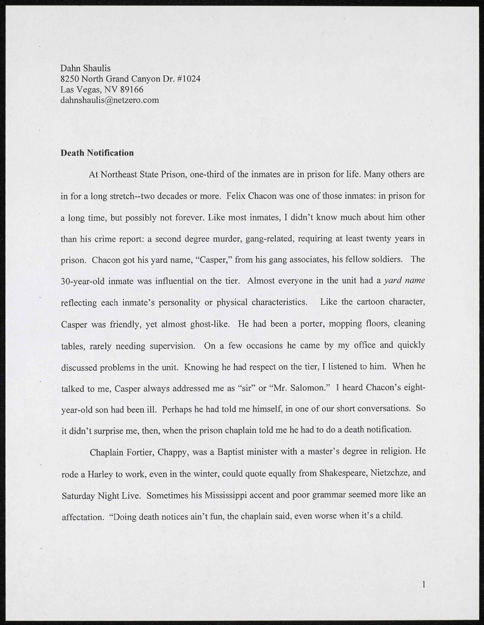Dahn Shaulis 8250 North Grand Canyon Dr. #1024 Las Vegas, NV 89166 [dahnshaulis@netzero.com](mailto:dahnshaulis@netzero.com) 

## **Death Notification**

At Northeast State Prison, one-third of the inmates are in prison for life. Many others are in for a long stretch-two decades or more. Felix Chacon was one of those inmates: in prison for a long time, but possibly not forever. Like most inmates, I didn't know much about him other than his crime report: a second degree murder, gang-related, requiring at least twenty years in prison. Chacon got his yard name, "Casper," from his gang associates, his fellow soldiers. The 30-year-old inmate was influential on the tier. Almost everyone in the unit had a *yard name*  reflecting each inmate's personality or physical characteristics. Like the cartoon character, Casper was friendly, yet almost ghost-like. He had been a porter, mopping floors, cleaning tables, rarely needing supervision. On a few occasions he came by my office and quickly discussed problems in the unit. Knowing he had respect on the tier, I listened to him. When he talked to me, Casper always addressed me as "sir" or "Mr. Salomon." I heard Chacon's eightyear-old son had been ill. Perhaps he had told me himself, in one of our short conversations. So it didn't surprise me, then, when the prison chaplain told me he had to do a death notification.

Chaplain Fortier, Chappy, was a Baptist minister with a master's degree in religion. He rode a Harley to work, even in the winter, could quote equally from Shakespeare, Nietzchze, and Saturday Night Live. Sometimes his Mississippi accent and poor grammar seemed more like an affectation. "Doing death notices ain't fun, the chaplain said, even worse when it's a child.

 $\mathbf{1}$